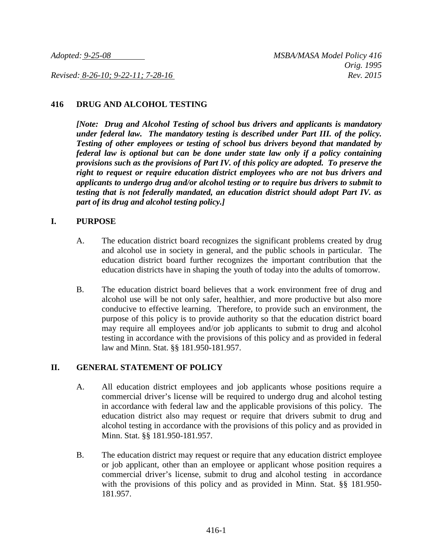*Revised: 8-26-10; 9-22-11; 7-28-16 Rev. 2015*

#### **416 DRUG AND ALCOHOL TESTING**

*[Note: Drug and Alcohol Testing of school bus drivers and applicants is mandatory under federal law. The mandatory testing is described under Part III. of the policy. Testing of other employees or testing of school bus drivers beyond that mandated by federal law is optional but can be done under state law only if a policy containing provisions such as the provisions of Part IV. of this policy are adopted. To preserve the right to request or require education district employees who are not bus drivers and applicants to undergo drug and/or alcohol testing or to require bus drivers to submit to testing that is not federally mandated, an education district should adopt Part IV. as part of its drug and alcohol testing policy.]*

#### **I. PURPOSE**

- A. The education district board recognizes the significant problems created by drug and alcohol use in society in general, and the public schools in particular. The education district board further recognizes the important contribution that the education districts have in shaping the youth of today into the adults of tomorrow.
- B. The education district board believes that a work environment free of drug and alcohol use will be not only safer, healthier, and more productive but also more conducive to effective learning. Therefore, to provide such an environment, the purpose of this policy is to provide authority so that the education district board may require all employees and/or job applicants to submit to drug and alcohol testing in accordance with the provisions of this policy and as provided in federal law and Minn. Stat. §§ 181.950-181.957.

#### **II. GENERAL STATEMENT OF POLICY**

- A. All education district employees and job applicants whose positions require a commercial driver's license will be required to undergo drug and alcohol testing in accordance with federal law and the applicable provisions of this policy. The education district also may request or require that drivers submit to drug and alcohol testing in accordance with the provisions of this policy and as provided in Minn. Stat. §§ 181.950-181.957.
- B. The education district may request or require that any education district employee or job applicant, other than an employee or applicant whose position requires a commercial driver's license, submit to drug and alcohol testing in accordance with the provisions of this policy and as provided in Minn. Stat. §§ 181.950- 181.957.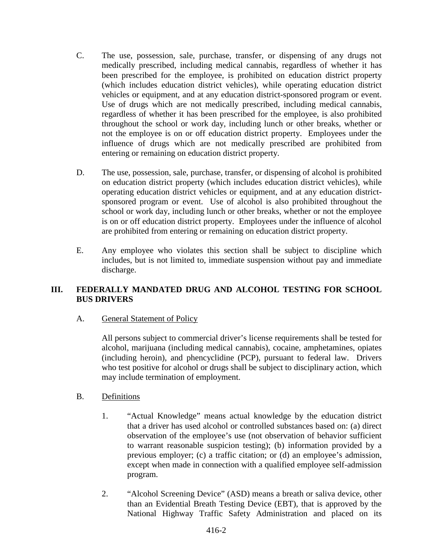- C. The use, possession, sale, purchase, transfer, or dispensing of any drugs not medically prescribed, including medical cannabis, regardless of whether it has been prescribed for the employee, is prohibited on education district property (which includes education district vehicles), while operating education district vehicles or equipment, and at any education district-sponsored program or event. Use of drugs which are not medically prescribed, including medical cannabis, regardless of whether it has been prescribed for the employee, is also prohibited throughout the school or work day, including lunch or other breaks, whether or not the employee is on or off education district property. Employees under the influence of drugs which are not medically prescribed are prohibited from entering or remaining on education district property.
- D. The use, possession, sale, purchase, transfer, or dispensing of alcohol is prohibited on education district property (which includes education district vehicles), while operating education district vehicles or equipment, and at any education districtsponsored program or event. Use of alcohol is also prohibited throughout the school or work day, including lunch or other breaks, whether or not the employee is on or off education district property. Employees under the influence of alcohol are prohibited from entering or remaining on education district property.
- E. Any employee who violates this section shall be subject to discipline which includes, but is not limited to, immediate suspension without pay and immediate discharge.

# **III. FEDERALLY MANDATED DRUG AND ALCOHOL TESTING FOR SCHOOL BUS DRIVERS**

# A. General Statement of Policy

All persons subject to commercial driver's license requirements shall be tested for alcohol, marijuana (including medical cannabis), cocaine, amphetamines, opiates (including heroin), and phencyclidine (PCP), pursuant to federal law. Drivers who test positive for alcohol or drugs shall be subject to disciplinary action, which may include termination of employment.

# B. Definitions

- 1. "Actual Knowledge" means actual knowledge by the education district that a driver has used alcohol or controlled substances based on: (a) direct observation of the employee's use (not observation of behavior sufficient to warrant reasonable suspicion testing); (b) information provided by a previous employer; (c) a traffic citation; or (d) an employee's admission, except when made in connection with a qualified employee self-admission program.
- 2. "Alcohol Screening Device" (ASD) means a breath or saliva device, other than an Evidential Breath Testing Device (EBT), that is approved by the National Highway Traffic Safety Administration and placed on its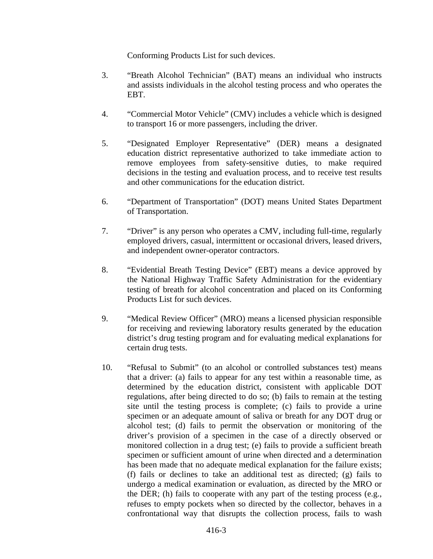Conforming Products List for such devices.

- 3. "Breath Alcohol Technician" (BAT) means an individual who instructs and assists individuals in the alcohol testing process and who operates the EBT.
- 4. "Commercial Motor Vehicle" (CMV) includes a vehicle which is designed to transport 16 or more passengers, including the driver.
- 5. "Designated Employer Representative" (DER) means a designated education district representative authorized to take immediate action to remove employees from safety-sensitive duties, to make required decisions in the testing and evaluation process, and to receive test results and other communications for the education district.
- 6. "Department of Transportation" (DOT) means United States Department of Transportation.
- 7. "Driver" is any person who operates a CMV, including full-time, regularly employed drivers, casual, intermittent or occasional drivers, leased drivers, and independent owner-operator contractors.
- 8. "Evidential Breath Testing Device" (EBT) means a device approved by the National Highway Traffic Safety Administration for the evidentiary testing of breath for alcohol concentration and placed on its Conforming Products List for such devices.
- 9. "Medical Review Officer" (MRO) means a licensed physician responsible for receiving and reviewing laboratory results generated by the education district's drug testing program and for evaluating medical explanations for certain drug tests.
- 10. "Refusal to Submit" (to an alcohol or controlled substances test) means that a driver: (a) fails to appear for any test within a reasonable time, as determined by the education district, consistent with applicable DOT regulations, after being directed to do so; (b) fails to remain at the testing site until the testing process is complete; (c) fails to provide a urine specimen or an adequate amount of saliva or breath for any DOT drug or alcohol test; (d) fails to permit the observation or monitoring of the driver's provision of a specimen in the case of a directly observed or monitored collection in a drug test; (e) fails to provide a sufficient breath specimen or sufficient amount of urine when directed and a determination has been made that no adequate medical explanation for the failure exists; (f) fails or declines to take an additional test as directed; (g) fails to undergo a medical examination or evaluation, as directed by the MRO or the DER; (h) fails to cooperate with any part of the testing process (e.g., refuses to empty pockets when so directed by the collector, behaves in a confrontational way that disrupts the collection process, fails to wash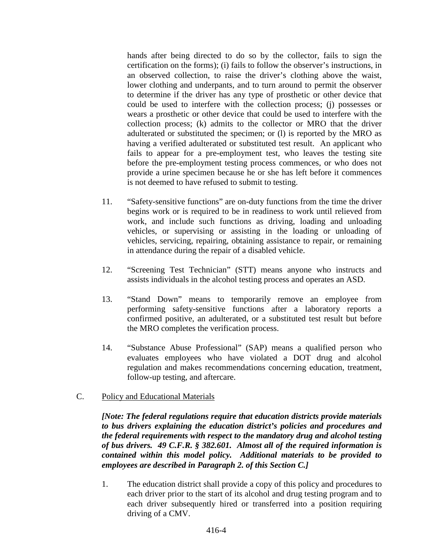hands after being directed to do so by the collector, fails to sign the certification on the forms); (i) fails to follow the observer's instructions, in an observed collection, to raise the driver's clothing above the waist, lower clothing and underpants, and to turn around to permit the observer to determine if the driver has any type of prosthetic or other device that could be used to interfere with the collection process; (j) possesses or wears a prosthetic or other device that could be used to interfere with the collection process; (k) admits to the collector or MRO that the driver adulterated or substituted the specimen; or (l) is reported by the MRO as having a verified adulterated or substituted test result. An applicant who fails to appear for a pre-employment test, who leaves the testing site before the pre-employment testing process commences, or who does not provide a urine specimen because he or she has left before it commences is not deemed to have refused to submit to testing.

- 11. "Safety-sensitive functions" are on-duty functions from the time the driver begins work or is required to be in readiness to work until relieved from work, and include such functions as driving, loading and unloading vehicles, or supervising or assisting in the loading or unloading of vehicles, servicing, repairing, obtaining assistance to repair, or remaining in attendance during the repair of a disabled vehicle.
- 12. "Screening Test Technician" (STT) means anyone who instructs and assists individuals in the alcohol testing process and operates an ASD.
- 13. "Stand Down" means to temporarily remove an employee from performing safety-sensitive functions after a laboratory reports a confirmed positive, an adulterated, or a substituted test result but before the MRO completes the verification process.
- 14. "Substance Abuse Professional" (SAP) means a qualified person who evaluates employees who have violated a DOT drug and alcohol regulation and makes recommendations concerning education, treatment, follow-up testing, and aftercare.
- C. Policy and Educational Materials

*[Note: The federal regulations require that education districts provide materials to bus drivers explaining the education district's policies and procedures and the federal requirements with respect to the mandatory drug and alcohol testing of bus drivers. 49 C.F.R. § 382.601. Almost all of the required information is contained within this model policy. Additional materials to be provided to employees are described in Paragraph 2. of this Section C.]*

1. The education district shall provide a copy of this policy and procedures to each driver prior to the start of its alcohol and drug testing program and to each driver subsequently hired or transferred into a position requiring driving of a CMV.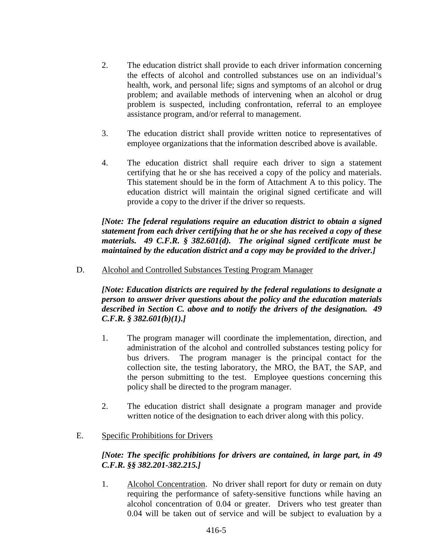- 2. The education district shall provide to each driver information concerning the effects of alcohol and controlled substances use on an individual's health, work, and personal life; signs and symptoms of an alcohol or drug problem; and available methods of intervening when an alcohol or drug problem is suspected, including confrontation, referral to an employee assistance program, and/or referral to management.
- 3. The education district shall provide written notice to representatives of employee organizations that the information described above is available.
- 4. The education district shall require each driver to sign a statement certifying that he or she has received a copy of the policy and materials. This statement should be in the form of Attachment A to this policy. The education district will maintain the original signed certificate and will provide a copy to the driver if the driver so requests.

*[Note: The federal regulations require an education district to obtain a signed statement from each driver certifying that he or she has received a copy of these materials. 49 C.F.R. § 382.601(d). The original signed certificate must be maintained by the education district and a copy may be provided to the driver.]*

# D. Alcohol and Controlled Substances Testing Program Manager

*[Note: Education districts are required by the federal regulations to designate a person to answer driver questions about the policy and the education materials described in Section C. above and to notify the drivers of the designation. 49 C.F.R. § 382.601(b)(1).]*

- 1. The program manager will coordinate the implementation, direction, and administration of the alcohol and controlled substances testing policy for bus drivers. The program manager is the principal contact for the collection site, the testing laboratory, the MRO, the BAT, the SAP, and the person submitting to the test. Employee questions concerning this policy shall be directed to the program manager.
- 2. The education district shall designate a program manager and provide written notice of the designation to each driver along with this policy.

# E. Specific Prohibitions for Drivers

# *[Note: The specific prohibitions for drivers are contained, in large part, in 49 C.F.R. §§ 382.201-382.215.]*

1. Alcohol Concentration. No driver shall report for duty or remain on duty requiring the performance of safety-sensitive functions while having an alcohol concentration of 0.04 or greater. Drivers who test greater than 0.04 will be taken out of service and will be subject to evaluation by a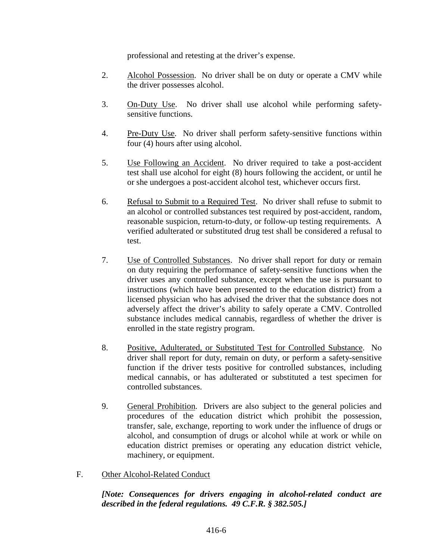professional and retesting at the driver's expense.

- 2. Alcohol Possession. No driver shall be on duty or operate a CMV while the driver possesses alcohol.
- 3. On-Duty Use. No driver shall use alcohol while performing safetysensitive functions.
- 4. Pre-Duty Use. No driver shall perform safety-sensitive functions within four (4) hours after using alcohol.
- 5. Use Following an Accident. No driver required to take a post-accident test shall use alcohol for eight (8) hours following the accident, or until he or she undergoes a post-accident alcohol test, whichever occurs first.
- 6. Refusal to Submit to a Required Test. No driver shall refuse to submit to an alcohol or controlled substances test required by post-accident, random, reasonable suspicion, return-to-duty, or follow-up testing requirements. A verified adulterated or substituted drug test shall be considered a refusal to test.
- 7. Use of Controlled Substances. No driver shall report for duty or remain on duty requiring the performance of safety-sensitive functions when the driver uses any controlled substance, except when the use is pursuant to instructions (which have been presented to the education district) from a licensed physician who has advised the driver that the substance does not adversely affect the driver's ability to safely operate a CMV. Controlled substance includes medical cannabis, regardless of whether the driver is enrolled in the state registry program.
- 8. Positive, Adulterated, or Substituted Test for Controlled Substance. No driver shall report for duty, remain on duty, or perform a safety-sensitive function if the driver tests positive for controlled substances, including medical cannabis, or has adulterated or substituted a test specimen for controlled substances.
- 9. General Prohibition. Drivers are also subject to the general policies and procedures of the education district which prohibit the possession, transfer, sale, exchange, reporting to work under the influence of drugs or alcohol, and consumption of drugs or alcohol while at work or while on education district premises or operating any education district vehicle, machinery, or equipment.
- F. Other Alcohol-Related Conduct

*[Note: Consequences for drivers engaging in alcohol-related conduct are described in the federal regulations. 49 C.F.R. § 382.505.]*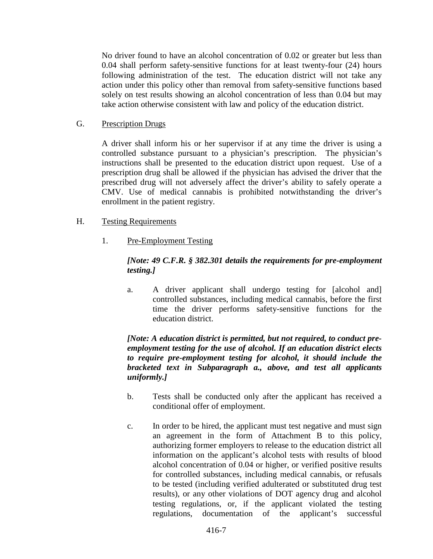No driver found to have an alcohol concentration of 0.02 or greater but less than 0.04 shall perform safety-sensitive functions for at least twenty-four (24) hours following administration of the test. The education district will not take any action under this policy other than removal from safety-sensitive functions based solely on test results showing an alcohol concentration of less than 0.04 but may take action otherwise consistent with law and policy of the education district.

## G. Prescription Drugs

A driver shall inform his or her supervisor if at any time the driver is using a controlled substance pursuant to a physician's prescription. The physician's instructions shall be presented to the education district upon request. Use of a prescription drug shall be allowed if the physician has advised the driver that the prescribed drug will not adversely affect the driver's ability to safely operate a CMV. Use of medical cannabis is prohibited notwithstanding the driver's enrollment in the patient registry.

- H. Testing Requirements
	- 1. Pre-Employment Testing

# *[Note: 49 C.F.R. § 382.301 details the requirements for pre-employment testing.]*

a. A driver applicant shall undergo testing for [alcohol and] controlled substances, including medical cannabis, before the first time the driver performs safety-sensitive functions for the education district.

*[Note: A education district is permitted, but not required, to conduct preemployment testing for the use of alcohol. If an education district elects to require pre-employment testing for alcohol, it should include the bracketed text in Subparagraph a., above, and test all applicants uniformly.]*

- b. Tests shall be conducted only after the applicant has received a conditional offer of employment.
- c. In order to be hired, the applicant must test negative and must sign an agreement in the form of Attachment B to this policy, authorizing former employers to release to the education district all information on the applicant's alcohol tests with results of blood alcohol concentration of 0.04 or higher, or verified positive results for controlled substances, including medical cannabis, or refusals to be tested (including verified adulterated or substituted drug test results), or any other violations of DOT agency drug and alcohol testing regulations, or, if the applicant violated the testing regulations, documentation of the applicant's successful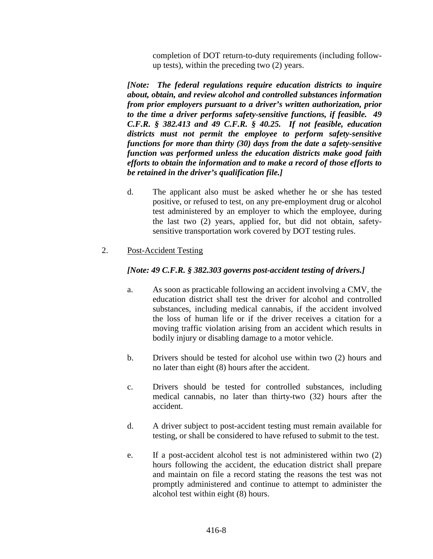completion of DOT return-to-duty requirements (including followup tests), within the preceding two (2) years.

*[Note: The federal regulations require education districts to inquire about, obtain, and review alcohol and controlled substances information from prior employers pursuant to a driver's written authorization, prior to the time a driver performs safety-sensitive functions, if feasible. 49 C.F.R. § 382.413 and 49 C.F.R. § 40.25. If not feasible, education districts must not permit the employee to perform safety-sensitive functions for more than thirty (30) days from the date a safety-sensitive function was performed unless the education districts make good faith efforts to obtain the information and to make a record of those efforts to be retained in the driver's qualification file.]*

- d. The applicant also must be asked whether he or she has tested positive, or refused to test, on any pre-employment drug or alcohol test administered by an employer to which the employee, during the last two (2) years, applied for, but did not obtain, safetysensitive transportation work covered by DOT testing rules.
- 2. Post-Accident Testing

## *[Note: 49 C.F.R. § 382.303 governs post-accident testing of drivers.]*

- a. As soon as practicable following an accident involving a CMV, the education district shall test the driver for alcohol and controlled substances, including medical cannabis, if the accident involved the loss of human life or if the driver receives a citation for a moving traffic violation arising from an accident which results in bodily injury or disabling damage to a motor vehicle.
- b. Drivers should be tested for alcohol use within two (2) hours and no later than eight (8) hours after the accident.
- c. Drivers should be tested for controlled substances, including medical cannabis, no later than thirty-two (32) hours after the accident.
- d. A driver subject to post-accident testing must remain available for testing, or shall be considered to have refused to submit to the test.
- e. If a post-accident alcohol test is not administered within two (2) hours following the accident, the education district shall prepare and maintain on file a record stating the reasons the test was not promptly administered and continue to attempt to administer the alcohol test within eight (8) hours.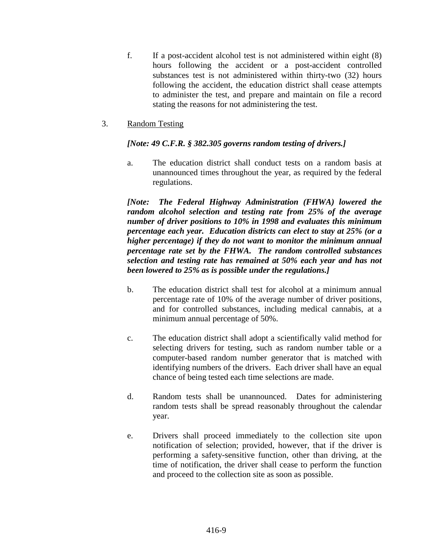- f. If a post-accident alcohol test is not administered within eight (8) hours following the accident or a post-accident controlled substances test is not administered within thirty-two (32) hours following the accident, the education district shall cease attempts to administer the test, and prepare and maintain on file a record stating the reasons for not administering the test.
- 3. Random Testing

## *[Note: 49 C.F.R. § 382.305 governs random testing of drivers.]*

a. The education district shall conduct tests on a random basis at unannounced times throughout the year, as required by the federal regulations.

*[Note: The Federal Highway Administration (FHWA) lowered the random alcohol selection and testing rate from 25% of the average number of driver positions to 10% in 1998 and evaluates this minimum percentage each year. Education districts can elect to stay at 25% (or a higher percentage) if they do not want to monitor the minimum annual percentage rate set by the FHWA. The random controlled substances selection and testing rate has remained at 50% each year and has not been lowered to 25% as is possible under the regulations.]*

- b. The education district shall test for alcohol at a minimum annual percentage rate of 10% of the average number of driver positions, and for controlled substances, including medical cannabis, at a minimum annual percentage of 50%.
- c. The education district shall adopt a scientifically valid method for selecting drivers for testing, such as random number table or a computer-based random number generator that is matched with identifying numbers of the drivers. Each driver shall have an equal chance of being tested each time selections are made.
- d. Random tests shall be unannounced. Dates for administering random tests shall be spread reasonably throughout the calendar year.
- e. Drivers shall proceed immediately to the collection site upon notification of selection; provided, however, that if the driver is performing a safety-sensitive function, other than driving, at the time of notification, the driver shall cease to perform the function and proceed to the collection site as soon as possible.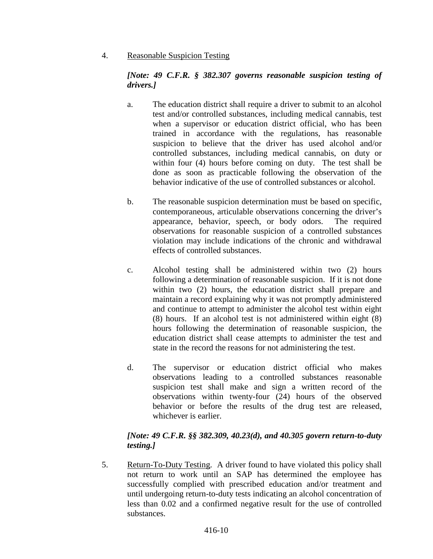4. Reasonable Suspicion Testing

# *[Note: 49 C.F.R. § 382.307 governs reasonable suspicion testing of drivers.]*

- a. The education district shall require a driver to submit to an alcohol test and/or controlled substances, including medical cannabis, test when a supervisor or education district official, who has been trained in accordance with the regulations, has reasonable suspicion to believe that the driver has used alcohol and/or controlled substances, including medical cannabis, on duty or within four (4) hours before coming on duty. The test shall be done as soon as practicable following the observation of the behavior indicative of the use of controlled substances or alcohol.
- b. The reasonable suspicion determination must be based on specific, contemporaneous, articulable observations concerning the driver's appearance, behavior, speech, or body odors. The required observations for reasonable suspicion of a controlled substances violation may include indications of the chronic and withdrawal effects of controlled substances.
- c. Alcohol testing shall be administered within two (2) hours following a determination of reasonable suspicion. If it is not done within two (2) hours, the education district shall prepare and maintain a record explaining why it was not promptly administered and continue to attempt to administer the alcohol test within eight (8) hours. If an alcohol test is not administered within eight (8) hours following the determination of reasonable suspicion, the education district shall cease attempts to administer the test and state in the record the reasons for not administering the test.
- d. The supervisor or education district official who makes observations leading to a controlled substances reasonable suspicion test shall make and sign a written record of the observations within twenty-four (24) hours of the observed behavior or before the results of the drug test are released, whichever is earlier.

# *[Note: 49 C.F.R. §§ 382.309, 40.23(d), and 40.305 govern return-to-duty testing.]*

5. Return-To-Duty Testing. A driver found to have violated this policy shall not return to work until an SAP has determined the employee has successfully complied with prescribed education and/or treatment and until undergoing return-to-duty tests indicating an alcohol concentration of less than 0.02 and a confirmed negative result for the use of controlled substances.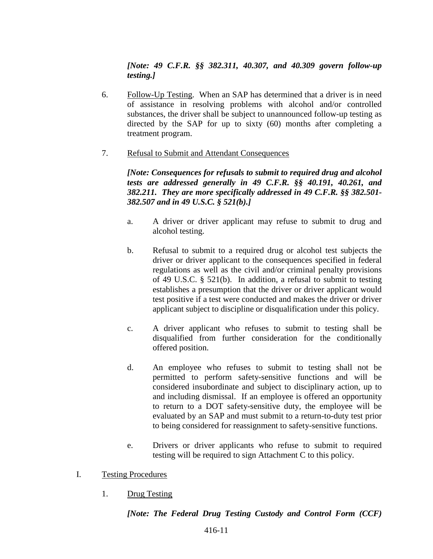*[Note: 49 C.F.R. §§ 382.311, 40.307, and 40.309 govern follow-up testing.]*

- 6. Follow-Up Testing. When an SAP has determined that a driver is in need of assistance in resolving problems with alcohol and/or controlled substances, the driver shall be subject to unannounced follow-up testing as directed by the SAP for up to sixty (60) months after completing a treatment program.
- 7. Refusal to Submit and Attendant Consequences

*[Note: Consequences for refusals to submit to required drug and alcohol tests are addressed generally in 49 C.F.R. §§ 40.191, 40.261, and 382.211. They are more specifically addressed in 49 C.F.R. §§ 382.501- 382.507 and in 49 U.S.C. § 521(b).]*

- a. A driver or driver applicant may refuse to submit to drug and alcohol testing.
- b. Refusal to submit to a required drug or alcohol test subjects the driver or driver applicant to the consequences specified in federal regulations as well as the civil and/or criminal penalty provisions of 49 U.S.C. § 521(b). In addition, a refusal to submit to testing establishes a presumption that the driver or driver applicant would test positive if a test were conducted and makes the driver or driver applicant subject to discipline or disqualification under this policy.
- c. A driver applicant who refuses to submit to testing shall be disqualified from further consideration for the conditionally offered position.
- d. An employee who refuses to submit to testing shall not be permitted to perform safety-sensitive functions and will be considered insubordinate and subject to disciplinary action, up to and including dismissal. If an employee is offered an opportunity to return to a DOT safety-sensitive duty, the employee will be evaluated by an SAP and must submit to a return-to-duty test prior to being considered for reassignment to safety-sensitive functions.
- e. Drivers or driver applicants who refuse to submit to required testing will be required to sign Attachment C to this policy.
- I. Testing Procedures
	- 1. Drug Testing

# *[Note: The Federal Drug Testing Custody and Control Form (CCF)*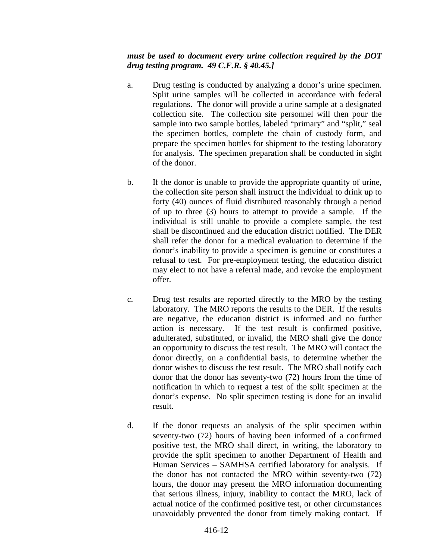#### *must be used to document every urine collection required by the DOT drug testing program. 49 C.F.R. § 40.45.]*

- a. Drug testing is conducted by analyzing a donor's urine specimen. Split urine samples will be collected in accordance with federal regulations. The donor will provide a urine sample at a designated collection site. The collection site personnel will then pour the sample into two sample bottles, labeled "primary" and "split," seal the specimen bottles, complete the chain of custody form, and prepare the specimen bottles for shipment to the testing laboratory for analysis. The specimen preparation shall be conducted in sight of the donor.
- b. If the donor is unable to provide the appropriate quantity of urine, the collection site person shall instruct the individual to drink up to forty (40) ounces of fluid distributed reasonably through a period of up to three (3) hours to attempt to provide a sample. If the individual is still unable to provide a complete sample, the test shall be discontinued and the education district notified. The DER shall refer the donor for a medical evaluation to determine if the donor's inability to provide a specimen is genuine or constitutes a refusal to test. For pre-employment testing, the education district may elect to not have a referral made, and revoke the employment offer.
- c. Drug test results are reported directly to the MRO by the testing laboratory. The MRO reports the results to the DER. If the results are negative, the education district is informed and no further action is necessary. If the test result is confirmed positive, adulterated, substituted, or invalid, the MRO shall give the donor an opportunity to discuss the test result. The MRO will contact the donor directly, on a confidential basis, to determine whether the donor wishes to discuss the test result. The MRO shall notify each donor that the donor has seventy-two (72) hours from the time of notification in which to request a test of the split specimen at the donor's expense. No split specimen testing is done for an invalid result.
- d. If the donor requests an analysis of the split specimen within seventy-two (72) hours of having been informed of a confirmed positive test, the MRO shall direct, in writing, the laboratory to provide the split specimen to another Department of Health and Human Services – SAMHSA certified laboratory for analysis. If the donor has not contacted the MRO within seventy-two (72) hours, the donor may present the MRO information documenting that serious illness, injury, inability to contact the MRO, lack of actual notice of the confirmed positive test, or other circumstances unavoidably prevented the donor from timely making contact. If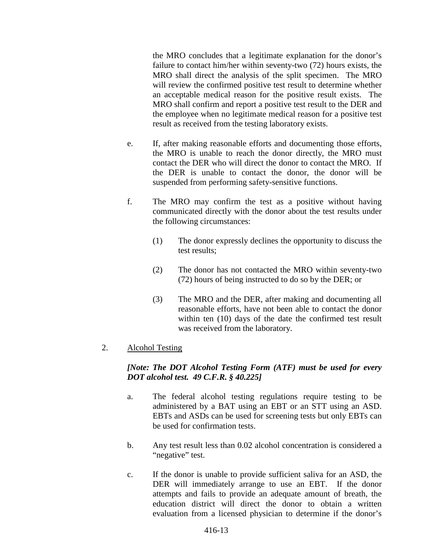the MRO concludes that a legitimate explanation for the donor's failure to contact him/her within seventy-two (72) hours exists, the MRO shall direct the analysis of the split specimen. The MRO will review the confirmed positive test result to determine whether an acceptable medical reason for the positive result exists. The MRO shall confirm and report a positive test result to the DER and the employee when no legitimate medical reason for a positive test result as received from the testing laboratory exists.

- e. If, after making reasonable efforts and documenting those efforts, the MRO is unable to reach the donor directly, the MRO must contact the DER who will direct the donor to contact the MRO. If the DER is unable to contact the donor, the donor will be suspended from performing safety-sensitive functions.
- f. The MRO may confirm the test as a positive without having communicated directly with the donor about the test results under the following circumstances:
	- (1) The donor expressly declines the opportunity to discuss the test results;
	- (2) The donor has not contacted the MRO within seventy-two (72) hours of being instructed to do so by the DER; or
	- (3) The MRO and the DER, after making and documenting all reasonable efforts, have not been able to contact the donor within ten (10) days of the date the confirmed test result was received from the laboratory.

# 2. Alcohol Testing

## *[Note: The DOT Alcohol Testing Form (ATF) must be used for every DOT alcohol test. 49 C.F.R. § 40.225]*

- a. The federal alcohol testing regulations require testing to be administered by a BAT using an EBT or an STT using an ASD. EBTs and ASDs can be used for screening tests but only EBTs can be used for confirmation tests.
- b. Any test result less than 0.02 alcohol concentration is considered a "negative" test.
- c. If the donor is unable to provide sufficient saliva for an ASD, the DER will immediately arrange to use an EBT. If the donor attempts and fails to provide an adequate amount of breath, the education district will direct the donor to obtain a written evaluation from a licensed physician to determine if the donor's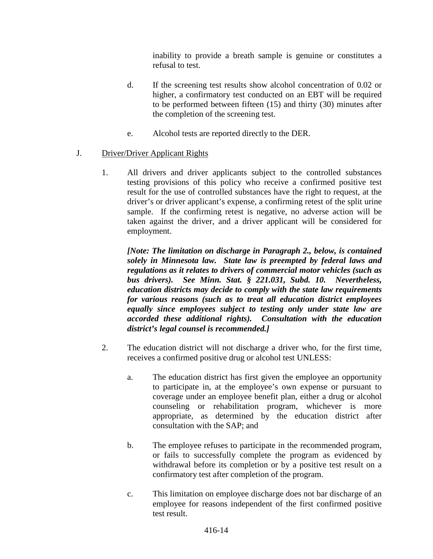inability to provide a breath sample is genuine or constitutes a refusal to test.

- d. If the screening test results show alcohol concentration of 0.02 or higher, a confirmatory test conducted on an EBT will be required to be performed between fifteen (15) and thirty (30) minutes after the completion of the screening test.
- e. Alcohol tests are reported directly to the DER.

# J. Driver/Driver Applicant Rights

1. All drivers and driver applicants subject to the controlled substances testing provisions of this policy who receive a confirmed positive test result for the use of controlled substances have the right to request, at the driver's or driver applicant's expense, a confirming retest of the split urine sample. If the confirming retest is negative, no adverse action will be taken against the driver, and a driver applicant will be considered for employment.

*[Note: The limitation on discharge in Paragraph 2., below, is contained solely in Minnesota law. State law is preempted by federal laws and regulations as it relates to drivers of commercial motor vehicles (such as bus drivers). See Minn. Stat. § 221.031, Subd. 10. Nevertheless, education districts may decide to comply with the state law requirements for various reasons (such as to treat all education district employees equally since employees subject to testing only under state law are accorded these additional rights). Consultation with the education district's legal counsel is recommended.]*

- 2. The education district will not discharge a driver who, for the first time, receives a confirmed positive drug or alcohol test UNLESS:
	- a. The education district has first given the employee an opportunity to participate in, at the employee's own expense or pursuant to coverage under an employee benefit plan, either a drug or alcohol counseling or rehabilitation program, whichever is more appropriate, as determined by the education district after consultation with the SAP; and
	- b. The employee refuses to participate in the recommended program, or fails to successfully complete the program as evidenced by withdrawal before its completion or by a positive test result on a confirmatory test after completion of the program.
	- c. This limitation on employee discharge does not bar discharge of an employee for reasons independent of the first confirmed positive test result.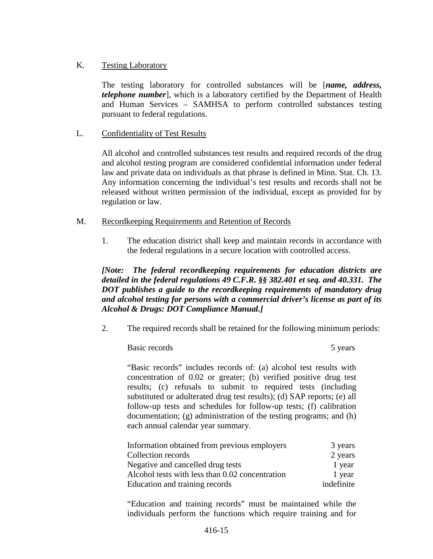## K. Testing Laboratory

The testing laboratory for controlled substances will be [*name, address, telephone number*], which is a laboratory certified by the Department of Health and Human Services – SAMHSA to perform controlled substances testing pursuant to federal regulations.

## L. Confidentiality of Test Results

All alcohol and controlled substances test results and required records of the drug and alcohol testing program are considered confidential information under federal law and private data on individuals as that phrase is defined in Minn. Stat. Ch. 13. Any information concerning the individual's test results and records shall not be released without written permission of the individual, except as provided for by regulation or law.

#### M. Recordkeeping Requirements and Retention of Records

1. The education district shall keep and maintain records in accordance with the federal regulations in a secure location with controlled access.

*[Note: The federal recordkeeping requirements for education districts are detailed in the federal regulations 49 C.F.R. §§ 382.401 et seq. and 40.331. The DOT publishes a guide to the recordkeeping requirements of mandatory drug and alcohol testing for persons with a commercial driver's license as part of its Alcohol & Drugs: DOT Compliance Manual.]*

2. The required records shall be retained for the following minimum periods:

Basic records 5 years 5 years 5 years 5 years 5 years 5 years 5 years 5 years 5 years 5 years 5 years 5 years 5 years 5 years 5 years 5 years 5 years 5 years 5 years 5 years 5 years 5 years 5 years 5 years 5 years 5 years

"Basic records" includes records of: (a) alcohol test results with concentration of 0.02 or greater; (b) verified positive drug test results; (c) refusals to submit to required tests (including substituted or adulterated drug test results); (d) SAP reports; (e) all follow-up tests and schedules for follow-up tests; (f) calibration documentation; (g) administration of the testing programs; and (h) each annual calendar year summary.

| Information obtained from previous employers    | 3 years    |
|-------------------------------------------------|------------|
| Collection records                              | 2 years    |
| Negative and cancelled drug tests               | 1 year     |
| Alcohol tests with less than 0.02 concentration | 1 year     |
| Education and training records                  | indefinite |

"Education and training records" must be maintained while the individuals perform the functions which require training and for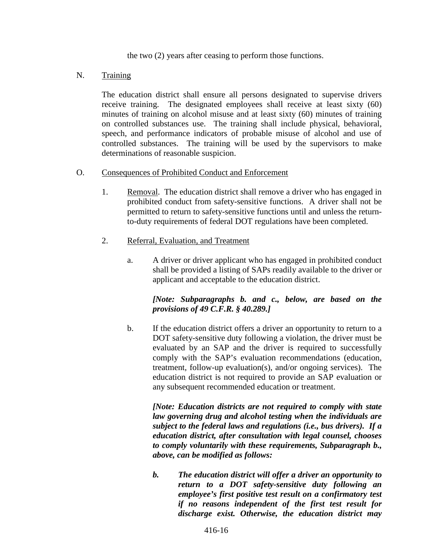the two (2) years after ceasing to perform those functions.

#### N. Training

The education district shall ensure all persons designated to supervise drivers receive training. The designated employees shall receive at least sixty (60) minutes of training on alcohol misuse and at least sixty (60) minutes of training on controlled substances use. The training shall include physical, behavioral, speech, and performance indicators of probable misuse of alcohol and use of controlled substances. The training will be used by the supervisors to make determinations of reasonable suspicion.

#### O. Consequences of Prohibited Conduct and Enforcement

- 1. Removal. The education district shall remove a driver who has engaged in prohibited conduct from safety-sensitive functions. A driver shall not be permitted to return to safety-sensitive functions until and unless the returnto-duty requirements of federal DOT regulations have been completed.
- 2. Referral, Evaluation, and Treatment
	- a. A driver or driver applicant who has engaged in prohibited conduct shall be provided a listing of SAPs readily available to the driver or applicant and acceptable to the education district.

## *[Note: Subparagraphs b. and c., below, are based on the provisions of 49 C.F.R. § 40.289.]*

b. If the education district offers a driver an opportunity to return to a DOT safety-sensitive duty following a violation, the driver must be evaluated by an SAP and the driver is required to successfully comply with the SAP's evaluation recommendations (education, treatment, follow-up evaluation(s), and/or ongoing services). The education district is not required to provide an SAP evaluation or any subsequent recommended education or treatment.

*[Note: Education districts are not required to comply with state law governing drug and alcohol testing when the individuals are subject to the federal laws and regulations (i.e., bus drivers). If a education district, after consultation with legal counsel, chooses to comply voluntarily with these requirements, Subparagraph b., above, can be modified as follows:*

*b. The education district will offer a driver an opportunity to return to a DOT safety-sensitive duty following an employee's first positive test result on a confirmatory test if no reasons independent of the first test result for discharge exist. Otherwise, the education district may*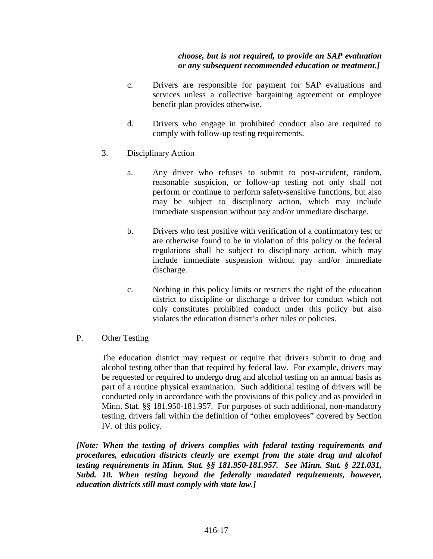### *choose, but is not required, to provide an SAP evaluation or any subsequent recommended education or treatment.]*

- c. Drivers are responsible for payment for SAP evaluations and services unless a collective bargaining agreement or employee benefit plan provides otherwise.
- d. Drivers who engage in prohibited conduct also are required to comply with follow-up testing requirements.
- 3. Disciplinary Action
	- a. Any driver who refuses to submit to post-accident, random, reasonable suspicion, or follow-up testing not only shall not perform or continue to perform safety-sensitive functions, but also may be subject to disciplinary action, which may include immediate suspension without pay and/or immediate discharge.
	- b. Drivers who test positive with verification of a confirmatory test or are otherwise found to be in violation of this policy or the federal regulations shall be subject to disciplinary action, which may include immediate suspension without pay and/or immediate discharge.
	- c. Nothing in this policy limits or restricts the right of the education district to discipline or discharge a driver for conduct which not only constitutes prohibited conduct under this policy but also violates the education district's other rules or policies.
- P. Other Testing

The education district may request or require that drivers submit to drug and alcohol testing other than that required by federal law. For example, drivers may be requested or required to undergo drug and alcohol testing on an annual basis as part of a routine physical examination. Such additional testing of drivers will be conducted only in accordance with the provisions of this policy and as provided in Minn. Stat. §§ 181.950-181.957. For purposes of such additional, non-mandatory testing, drivers fall within the definition of "other employees" covered by Section IV. of this policy.

*[Note: When the testing of drivers complies with federal testing requirements and procedures, education districts clearly are exempt from the state drug and alcohol testing requirements in Minn. Stat. §§ 181.950-181.957. See Minn. Stat. § 221.031, Subd. 10. When testing beyond the federally mandated requirements, however, education districts still must comply with state law.]*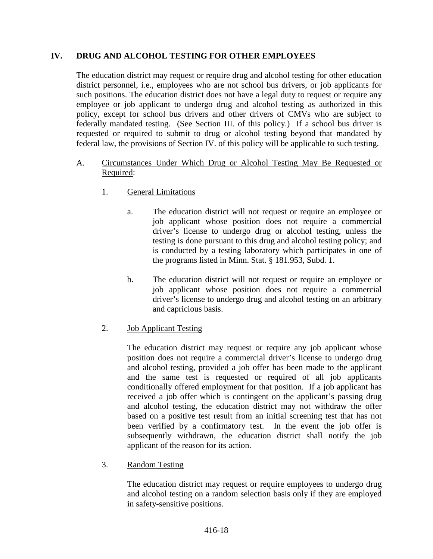## **IV. DRUG AND ALCOHOL TESTING FOR OTHER EMPLOYEES**

The education district may request or require drug and alcohol testing for other education district personnel, i.e., employees who are not school bus drivers, or job applicants for such positions. The education district does not have a legal duty to request or require any employee or job applicant to undergo drug and alcohol testing as authorized in this policy, except for school bus drivers and other drivers of CMVs who are subject to federally mandated testing. (See Section III. of this policy.) If a school bus driver is requested or required to submit to drug or alcohol testing beyond that mandated by federal law, the provisions of Section IV. of this policy will be applicable to such testing.

- A. Circumstances Under Which Drug or Alcohol Testing May Be Requested or Required:
	- 1. General Limitations
		- a. The education district will not request or require an employee or job applicant whose position does not require a commercial driver's license to undergo drug or alcohol testing, unless the testing is done pursuant to this drug and alcohol testing policy; and is conducted by a testing laboratory which participates in one of the programs listed in Minn. Stat. § 181.953, Subd. 1.
		- b. The education district will not request or require an employee or job applicant whose position does not require a commercial driver's license to undergo drug and alcohol testing on an arbitrary and capricious basis.
	- 2. Job Applicant Testing

The education district may request or require any job applicant whose position does not require a commercial driver's license to undergo drug and alcohol testing, provided a job offer has been made to the applicant and the same test is requested or required of all job applicants conditionally offered employment for that position. If a job applicant has received a job offer which is contingent on the applicant's passing drug and alcohol testing, the education district may not withdraw the offer based on a positive test result from an initial screening test that has not been verified by a confirmatory test. In the event the job offer is subsequently withdrawn, the education district shall notify the job applicant of the reason for its action.

3. Random Testing

The education district may request or require employees to undergo drug and alcohol testing on a random selection basis only if they are employed in safety-sensitive positions.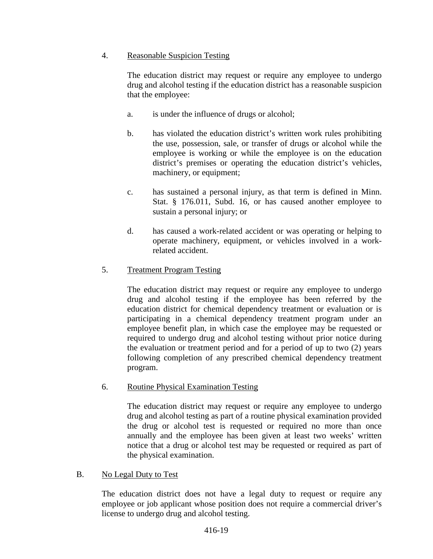# 4. Reasonable Suspicion Testing

The education district may request or require any employee to undergo drug and alcohol testing if the education district has a reasonable suspicion that the employee:

- a. is under the influence of drugs or alcohol;
- b. has violated the education district's written work rules prohibiting the use, possession, sale, or transfer of drugs or alcohol while the employee is working or while the employee is on the education district's premises or operating the education district's vehicles, machinery, or equipment;
- c. has sustained a personal injury, as that term is defined in Minn. Stat. § 176.011, Subd. 16, or has caused another employee to sustain a personal injury; or
- d. has caused a work-related accident or was operating or helping to operate machinery, equipment, or vehicles involved in a workrelated accident.

# 5. Treatment Program Testing

The education district may request or require any employee to undergo drug and alcohol testing if the employee has been referred by the education district for chemical dependency treatment or evaluation or is participating in a chemical dependency treatment program under an employee benefit plan, in which case the employee may be requested or required to undergo drug and alcohol testing without prior notice during the evaluation or treatment period and for a period of up to two (2) years following completion of any prescribed chemical dependency treatment program.

# 6. Routine Physical Examination Testing

The education district may request or require any employee to undergo drug and alcohol testing as part of a routine physical examination provided the drug or alcohol test is requested or required no more than once annually and the employee has been given at least two weeks' written notice that a drug or alcohol test may be requested or required as part of the physical examination.

# B. No Legal Duty to Test

The education district does not have a legal duty to request or require any employee or job applicant whose position does not require a commercial driver's license to undergo drug and alcohol testing.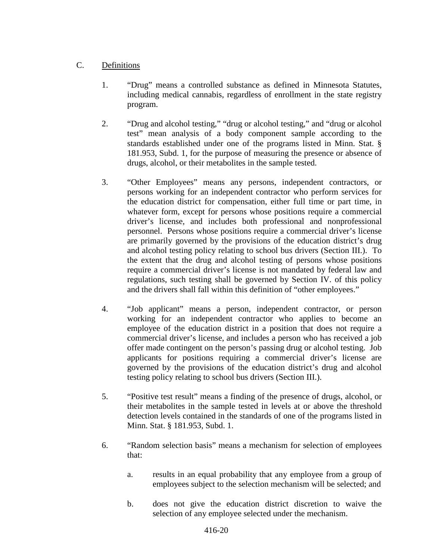# C. Definitions

- 1. "Drug" means a controlled substance as defined in Minnesota Statutes, including medical cannabis, regardless of enrollment in the state registry program.
- 2. "Drug and alcohol testing," "drug or alcohol testing," and "drug or alcohol test" mean analysis of a body component sample according to the standards established under one of the programs listed in Minn. Stat. § 181.953, Subd. 1, for the purpose of measuring the presence or absence of drugs, alcohol, or their metabolites in the sample tested.
- 3. "Other Employees" means any persons, independent contractors, or persons working for an independent contractor who perform services for the education district for compensation, either full time or part time, in whatever form, except for persons whose positions require a commercial driver's license, and includes both professional and nonprofessional personnel. Persons whose positions require a commercial driver's license are primarily governed by the provisions of the education district's drug and alcohol testing policy relating to school bus drivers (Section III.). To the extent that the drug and alcohol testing of persons whose positions require a commercial driver's license is not mandated by federal law and regulations, such testing shall be governed by Section IV. of this policy and the drivers shall fall within this definition of "other employees."
- 4. "Job applicant" means a person, independent contractor, or person working for an independent contractor who applies to become an employee of the education district in a position that does not require a commercial driver's license, and includes a person who has received a job offer made contingent on the person's passing drug or alcohol testing. Job applicants for positions requiring a commercial driver's license are governed by the provisions of the education district's drug and alcohol testing policy relating to school bus drivers (Section III.).
- 5. "Positive test result" means a finding of the presence of drugs, alcohol, or their metabolites in the sample tested in levels at or above the threshold detection levels contained in the standards of one of the programs listed in Minn. Stat. § 181.953, Subd. 1.
- 6. "Random selection basis" means a mechanism for selection of employees that:
	- a. results in an equal probability that any employee from a group of employees subject to the selection mechanism will be selected; and
	- b. does not give the education district discretion to waive the selection of any employee selected under the mechanism.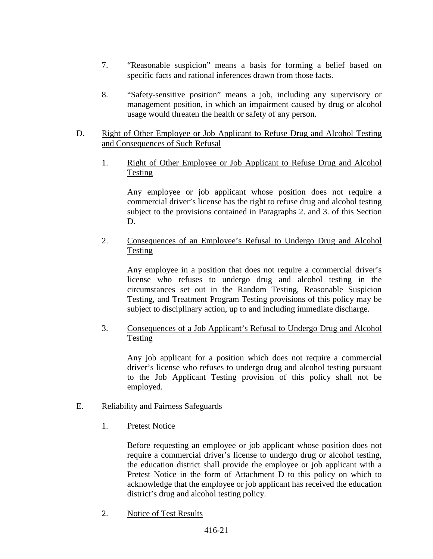- 7. "Reasonable suspicion" means a basis for forming a belief based on specific facts and rational inferences drawn from those facts.
- 8. "Safety-sensitive position" means a job, including any supervisory or management position, in which an impairment caused by drug or alcohol usage would threaten the health or safety of any person.

### D. Right of Other Employee or Job Applicant to Refuse Drug and Alcohol Testing and Consequences of Such Refusal

1. Right of Other Employee or Job Applicant to Refuse Drug and Alcohol Testing

Any employee or job applicant whose position does not require a commercial driver's license has the right to refuse drug and alcohol testing subject to the provisions contained in Paragraphs 2. and 3. of this Section D.

2. Consequences of an Employee's Refusal to Undergo Drug and Alcohol Testing

Any employee in a position that does not require a commercial driver's license who refuses to undergo drug and alcohol testing in the circumstances set out in the Random Testing, Reasonable Suspicion Testing, and Treatment Program Testing provisions of this policy may be subject to disciplinary action, up to and including immediate discharge.

3. Consequences of a Job Applicant's Refusal to Undergo Drug and Alcohol Testing

Any job applicant for a position which does not require a commercial driver's license who refuses to undergo drug and alcohol testing pursuant to the Job Applicant Testing provision of this policy shall not be employed.

- E. Reliability and Fairness Safeguards
	- 1. Pretest Notice

Before requesting an employee or job applicant whose position does not require a commercial driver's license to undergo drug or alcohol testing, the education district shall provide the employee or job applicant with a Pretest Notice in the form of Attachment D to this policy on which to acknowledge that the employee or job applicant has received the education district's drug and alcohol testing policy.

2. Notice of Test Results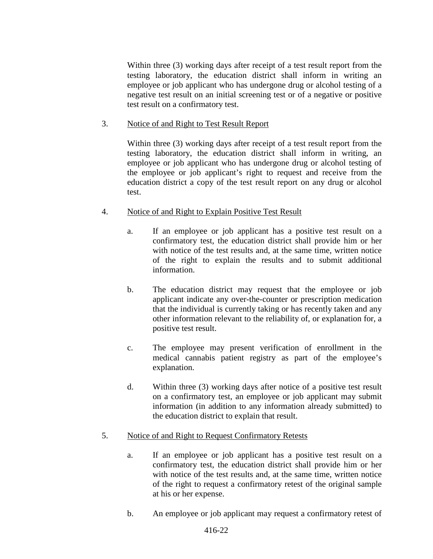Within three (3) working days after receipt of a test result report from the testing laboratory, the education district shall inform in writing an employee or job applicant who has undergone drug or alcohol testing of a negative test result on an initial screening test or of a negative or positive test result on a confirmatory test.

#### 3. Notice of and Right to Test Result Report

Within three (3) working days after receipt of a test result report from the testing laboratory, the education district shall inform in writing, an employee or job applicant who has undergone drug or alcohol testing of the employee or job applicant's right to request and receive from the education district a copy of the test result report on any drug or alcohol test.

## 4. Notice of and Right to Explain Positive Test Result

- a. If an employee or job applicant has a positive test result on a confirmatory test, the education district shall provide him or her with notice of the test results and, at the same time, written notice of the right to explain the results and to submit additional information.
- b. The education district may request that the employee or job applicant indicate any over-the-counter or prescription medication that the individual is currently taking or has recently taken and any other information relevant to the reliability of, or explanation for, a positive test result.
- c. The employee may present verification of enrollment in the medical cannabis patient registry as part of the employee's explanation.
- d. Within three (3) working days after notice of a positive test result on a confirmatory test, an employee or job applicant may submit information (in addition to any information already submitted) to the education district to explain that result.

# 5. Notice of and Right to Request Confirmatory Retests

- a. If an employee or job applicant has a positive test result on a confirmatory test, the education district shall provide him or her with notice of the test results and, at the same time, written notice of the right to request a confirmatory retest of the original sample at his or her expense.
- b. An employee or job applicant may request a confirmatory retest of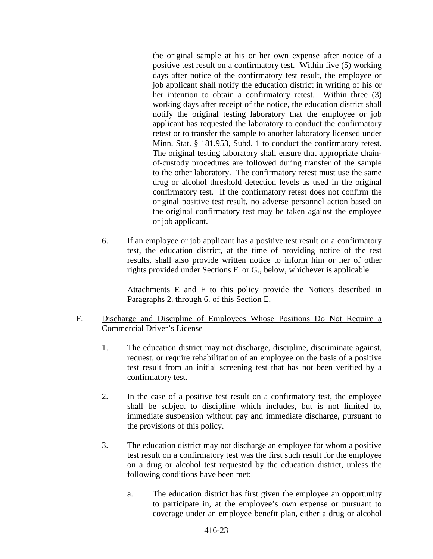the original sample at his or her own expense after notice of a positive test result on a confirmatory test. Within five (5) working days after notice of the confirmatory test result, the employee or job applicant shall notify the education district in writing of his or her intention to obtain a confirmatory retest. Within three (3) working days after receipt of the notice, the education district shall notify the original testing laboratory that the employee or job applicant has requested the laboratory to conduct the confirmatory retest or to transfer the sample to another laboratory licensed under Minn. Stat. § 181.953, Subd. 1 to conduct the confirmatory retest. The original testing laboratory shall ensure that appropriate chainof-custody procedures are followed during transfer of the sample to the other laboratory. The confirmatory retest must use the same drug or alcohol threshold detection levels as used in the original confirmatory test. If the confirmatory retest does not confirm the original positive test result, no adverse personnel action based on the original confirmatory test may be taken against the employee or job applicant.

6. If an employee or job applicant has a positive test result on a confirmatory test, the education district, at the time of providing notice of the test results, shall also provide written notice to inform him or her of other rights provided under Sections F. or G., below, whichever is applicable.

Attachments E and F to this policy provide the Notices described in Paragraphs 2. through 6. of this Section E.

## F. Discharge and Discipline of Employees Whose Positions Do Not Require a Commercial Driver's License

- 1. The education district may not discharge, discipline, discriminate against, request, or require rehabilitation of an employee on the basis of a positive test result from an initial screening test that has not been verified by a confirmatory test.
- 2. In the case of a positive test result on a confirmatory test, the employee shall be subject to discipline which includes, but is not limited to, immediate suspension without pay and immediate discharge, pursuant to the provisions of this policy.
- 3. The education district may not discharge an employee for whom a positive test result on a confirmatory test was the first such result for the employee on a drug or alcohol test requested by the education district, unless the following conditions have been met:
	- a. The education district has first given the employee an opportunity to participate in, at the employee's own expense or pursuant to coverage under an employee benefit plan, either a drug or alcohol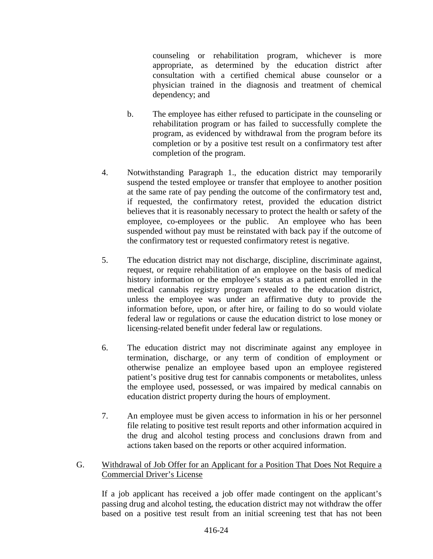counseling or rehabilitation program, whichever is more appropriate, as determined by the education district after consultation with a certified chemical abuse counselor or a physician trained in the diagnosis and treatment of chemical dependency; and

- b. The employee has either refused to participate in the counseling or rehabilitation program or has failed to successfully complete the program, as evidenced by withdrawal from the program before its completion or by a positive test result on a confirmatory test after completion of the program.
- 4. Notwithstanding Paragraph 1., the education district may temporarily suspend the tested employee or transfer that employee to another position at the same rate of pay pending the outcome of the confirmatory test and, if requested, the confirmatory retest, provided the education district believes that it is reasonably necessary to protect the health or safety of the employee, co-employees or the public. An employee who has been suspended without pay must be reinstated with back pay if the outcome of the confirmatory test or requested confirmatory retest is negative.
- 5. The education district may not discharge, discipline, discriminate against, request, or require rehabilitation of an employee on the basis of medical history information or the employee's status as a patient enrolled in the medical cannabis registry program revealed to the education district, unless the employee was under an affirmative duty to provide the information before, upon, or after hire, or failing to do so would violate federal law or regulations or cause the education district to lose money or licensing-related benefit under federal law or regulations.
- 6. The education district may not discriminate against any employee in termination, discharge, or any term of condition of employment or otherwise penalize an employee based upon an employee registered patient's positive drug test for cannabis components or metabolites, unless the employee used, possessed, or was impaired by medical cannabis on education district property during the hours of employment.
- 7. An employee must be given access to information in his or her personnel file relating to positive test result reports and other information acquired in the drug and alcohol testing process and conclusions drawn from and actions taken based on the reports or other acquired information.
- G. Withdrawal of Job Offer for an Applicant for a Position That Does Not Require a Commercial Driver's License

If a job applicant has received a job offer made contingent on the applicant's passing drug and alcohol testing, the education district may not withdraw the offer based on a positive test result from an initial screening test that has not been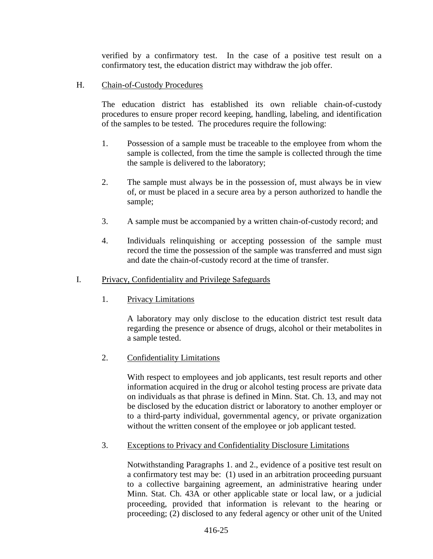verified by a confirmatory test. In the case of a positive test result on a confirmatory test, the education district may withdraw the job offer.

H. Chain-of-Custody Procedures

The education district has established its own reliable chain-of-custody procedures to ensure proper record keeping, handling, labeling, and identification of the samples to be tested. The procedures require the following:

- 1. Possession of a sample must be traceable to the employee from whom the sample is collected, from the time the sample is collected through the time the sample is delivered to the laboratory;
- 2. The sample must always be in the possession of, must always be in view of, or must be placed in a secure area by a person authorized to handle the sample;
- 3. A sample must be accompanied by a written chain-of-custody record; and
- 4. Individuals relinquishing or accepting possession of the sample must record the time the possession of the sample was transferred and must sign and date the chain-of-custody record at the time of transfer.
- I. Privacy, Confidentiality and Privilege Safeguards
	- 1. Privacy Limitations

A laboratory may only disclose to the education district test result data regarding the presence or absence of drugs, alcohol or their metabolites in a sample tested.

2. Confidentiality Limitations

With respect to employees and job applicants, test result reports and other information acquired in the drug or alcohol testing process are private data on individuals as that phrase is defined in Minn. Stat. Ch. 13, and may not be disclosed by the education district or laboratory to another employer or to a third-party individual, governmental agency, or private organization without the written consent of the employee or job applicant tested.

3. Exceptions to Privacy and Confidentiality Disclosure Limitations

Notwithstanding Paragraphs 1. and 2., evidence of a positive test result on a confirmatory test may be: (1) used in an arbitration proceeding pursuant to a collective bargaining agreement, an administrative hearing under Minn. Stat. Ch. 43A or other applicable state or local law, or a judicial proceeding, provided that information is relevant to the hearing or proceeding; (2) disclosed to any federal agency or other unit of the United